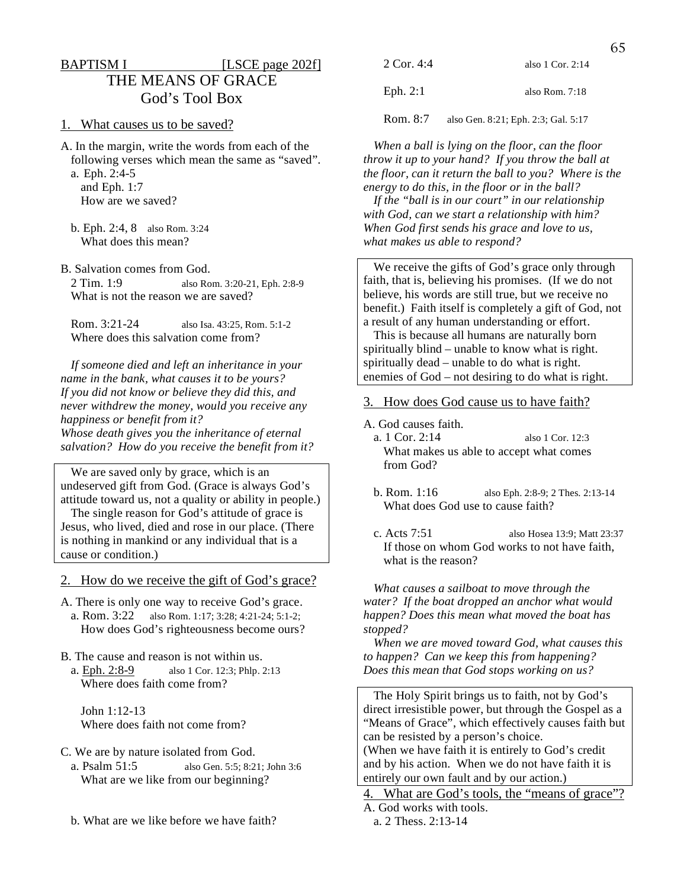# BAPTISM I [LSCE page 202f] THE MEANS OF GRACE God's Tool Box

#### 1. What causes us to be saved?

A. In the margin, write the words from each of the following verses which mean the same as "saved". a. Eph. 2:4-5

 and Eph. 1:7 How are we saved?

 b. Eph. 2:4, 8 also Rom. 3:24 What does this mean?

B. Salvation comes from God.

 2 Tim. 1:9 also Rom. 3:20-21, Eph. 2:8-9 What is not the reason we are saved?

 Rom. 3:21-24 also Isa. 43:25, Rom. 5:1-2 Where does this salvation come from?

 *If someone died and left an inheritance in your name in the bank, what causes it to be yours? If you did not know or believe they did this, and never withdrew the money, would you receive any happiness or benefit from it? Whose death gives you the inheritance of eternal salvation? How do you receive the benefit from it?* 

 We are saved only by grace, which is an undeserved gift from God. (Grace is always God's attitude toward us, not a quality or ability in people.)

 The single reason for God's attitude of grace is Jesus, who lived, died and rose in our place. (There is nothing in mankind or any individual that is a cause or condition.)

2. How do we receive the gift of God's grace?

- A. There is only one way to receive God's grace. a. Rom. 3:22 also Rom. 1:17; 3:28; 4:21-24; 5:1-2; How does God's righteousness become ours?
- B. The cause and reason is not within us. a. Eph. 2:8-9 also 1 Cor. 12:3; Phlp. 2:13 Where does faith come from?

 John 1:12-13 Where does faith not come from?

C. We are by nature isolated from God.

- a. Psalm 51:5 also Gen. 5:5; 8:21; John 3:6 What are we like from our beginning?
- b. What are we like before we have faith?

| 2 Cor. 4:4 | also $1$ Cor. $2:14$ |
|------------|----------------------|
| Eph. $2:1$ | also Rom. $7:18$     |

Rom. 8:7 also Gen. 8:21; Eph. 2:3; Gal. 5:17

 *When a ball is lying on the floor, can the floor throw it up to your hand? If you throw the ball at the floor, can it return the ball to you? Where is the energy to do this, in the floor or in the ball?* 

 *If the "ball is in our court" in our relationship with God, can we start a relationship with him? When God first sends his grace and love to us, what makes us able to respond?* 

We receive the gifts of God's grace only through faith, that is, believing his promises. (If we do not believe, his words are still true, but we receive no benefit.) Faith itself is completely a gift of God, not a result of any human understanding or effort.

 This is because all humans are naturally born spiritually blind – unable to know what is right. spiritually dead – unable to do what is right. enemies of God – not desiring to do what is right.

- 3. How does God cause us to have faith?
- A. God causes faith.
	- a. 1 Cor. 2:14 also 1 Cor. 12:3 What makes us able to accept what comes from God?
	- b. Rom. 1:16 also Eph. 2:8-9; 2 Thes. 2:13-14 What does God use to cause faith?
	- c. Acts 7:51 also Hosea 13:9; Matt 23:37 If those on whom God works to not have faith, what is the reason?

 *What causes a sailboat to move through the water? If the boat dropped an anchor what would happen? Does this mean what moved the boat has stopped?* 

 *When we are moved toward God, what causes this to happen? Can we keep this from happening? Does this mean that God stops working on us?* 

 The Holy Spirit brings us to faith, not by God's direct irresistible power, but through the Gospel as a "Means of Grace", which effectively causes faith but can be resisted by a person's choice. (When we have faith it is entirely to God's credit and by his action. When we do not have faith it is

entirely our own fault and by our action.) 4. What are God's tools, the "means of grace"?

A. God works with tools.

a. 2 Thess. 2:13-14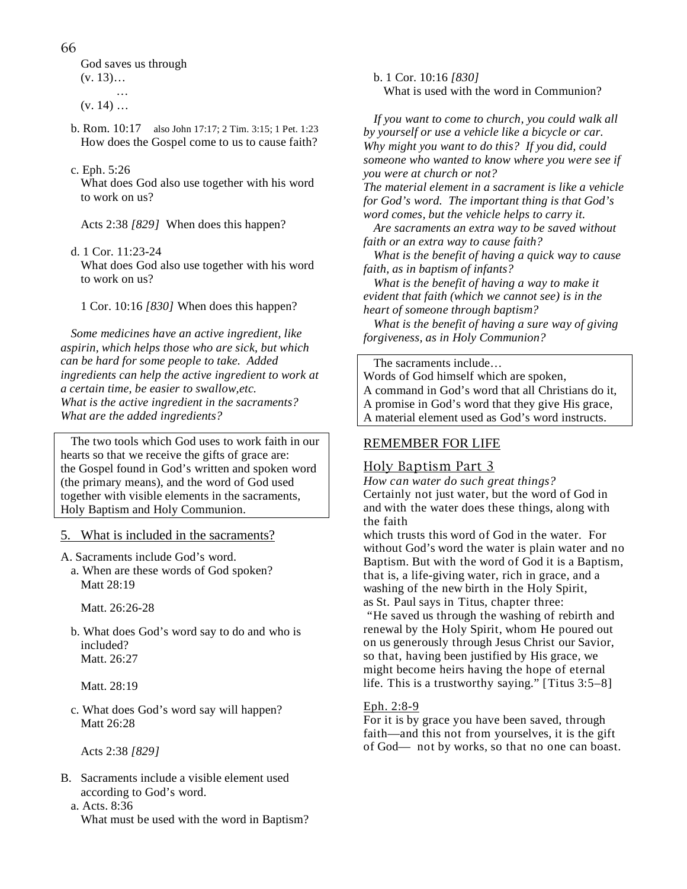66

 God saves us through  $(v. 13)...$ 

 …  $(v. 14) ...$ 

> b. Rom. 10:17 also John 17:17; 2 Tim. 3:15; 1 Pet. 1:23 How does the Gospel come to us to cause faith?

## c. Eph. 5:26

 What does God also use together with his word to work on us?

Acts 2:38 *[829]* When does this happen?

d. 1 Cor. 11:23-24

 What does God also use together with his word to work on us?

1 Cor. 10:16 *[830]* When does this happen?

 *Some medicines have an active ingredient, like aspirin, which helps those who are sick, but which can be hard for some people to take. Added ingredients can help the active ingredient to work at a certain time, be easier to swallow,etc. What is the active ingredient in the sacraments? What are the added ingredients?* 

 The two tools which God uses to work faith in our hearts so that we receive the gifts of grace are: the Gospel found in God's written and spoken word (the primary means), and the word of God used together with visible elements in the sacraments, Holy Baptism and Holy Communion.

5. What is included in the sacraments?

A. Sacraments include God's word.

 a. When are these words of God spoken? Matt 28:19

Matt. 26:26-28

 b. What does God's word say to do and who is included? Matt. 26:27

Matt. 28:19

 c. What does God's word say will happen? Matt 26:28

Acts 2:38 *[829]* 

- B. Sacraments include a visible element used according to God's word.
	- a. Acts. 8:36 What must be used with the word in Baptism?

 b. 1 Cor. 10:16 *[830]* What is used with the word in Communion?

 *If you want to come to church, you could walk all by yourself or use a vehicle like a bicycle or car. Why might you want to do this? If you did, could someone who wanted to know where you were see if you were at church or not?* 

*The material element in a sacrament is like a vehicle for God's word. The important thing is that God's word comes, but the vehicle helps to carry it.* 

 *Are sacraments an extra way to be saved without faith or an extra way to cause faith?* 

 *What is the benefit of having a quick way to cause faith, as in baptism of infants?* 

 *What is the benefit of having a way to make it evident that faith (which we cannot see) is in the heart of someone through baptism?* 

 *What is the benefit of having a sure way of giving forgiveness, as in Holy Communion?* 

The sacraments include…

Words of God himself which are spoken, A command in God's word that all Christians do it, A promise in God's word that they give His grace, A material element used as God's word instructs.

# REMEMBER FOR LIFE

# Holy Baptism Part 3

*How can water do such great things?*  Certainly not just water, but the word of God in and with the water does these things, along with the faith

which trusts this word of God in the water. For without God's word the water is plain water and no Baptism. But with the word of God it is a Baptism, that is, a life-giving water, rich in grace, and a washing of the new birth in the Holy Spirit, as St. Paul says in Titus, chapter three:

 "He saved us through the washing of rebirth and renewal by the Holy Spirit, whom He poured out on us generously through Jesus Christ our Savior, so that, having been justified by His grace, we might become heirs having the hope of eternal life. This is a trustworthy saying." [Titus 3:5–8]

## Eph. 2:8-9

For it is by grace you have been saved, through faith—and this not from yourselves, it is the gift of God— not by works, so that no one can boast.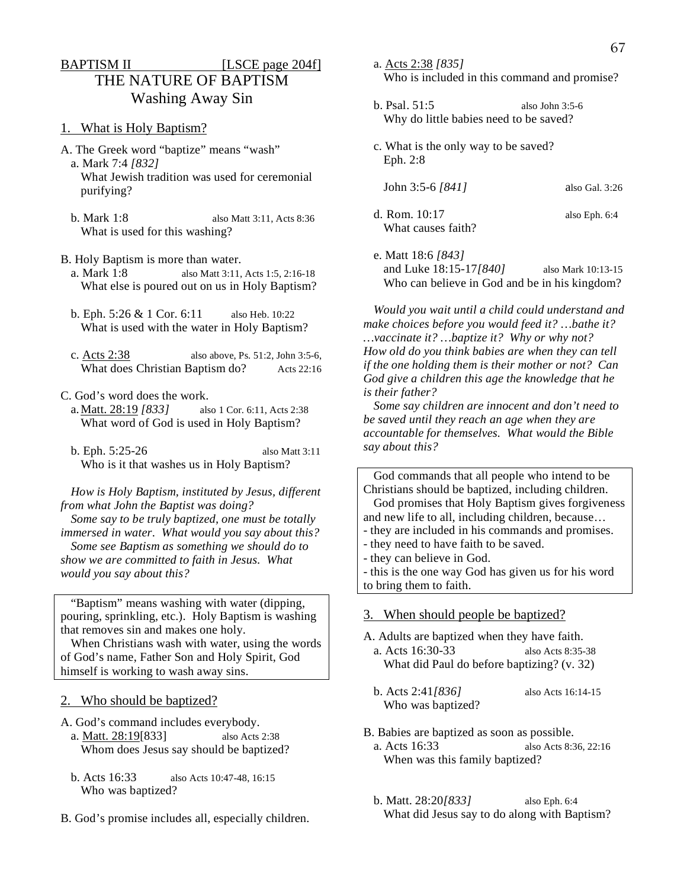# BAPTISM II [LSCE page 204f] THE NATURE OF BAPTISM Washing Away Sin

- 1. What is Holy Baptism?
- A. The Greek word "baptize" means "wash" a. Mark 7:4 *[832]* What Jewish tradition was used for ceremonial
	- purifying?
	- b. Mark 1:8 also Matt 3:11, Acts 8:36 What is used for this washing?
- B. Holy Baptism is more than water.
- a. Mark 1:8 also Matt 3:11, Acts 1:5, 2:16-18 What else is poured out on us in Holy Baptism?
- b. Eph. 5:26 & 1 Cor. 6:11 also Heb. 10:22 What is used with the water in Holy Baptism?
- c. Acts 2:38 also above, Ps. 51:2, John 3:5-6, What does Christian Baptism do? Acts 22:16
- C. God's word does the work.
	- a. Matt. 28:19 *[833]* also 1 Cor. 6:11, Acts 2:38 What word of God is used in Holy Baptism?
	- b. Eph. 5:25-26 also Matt 3:11 Who is it that washes us in Holy Baptism?

 *How is Holy Baptism, instituted by Jesus, different from what John the Baptist was doing? Some say to be truly baptized, one must be totally immersed in water. What would you say about this? Some see Baptism as something we should do to show we are committed to faith in Jesus. What would you say about this?* 

 "Baptism" means washing with water (dipping, pouring, sprinkling, etc.). Holy Baptism is washing that removes sin and makes one holy.

 When Christians wash with water, using the words of God's name, Father Son and Holy Spirit, God himself is working to wash away sins.

- 2. Who should be baptized?
- A. God's command includes everybody. a. Matt. 28:19[833] also Acts 2:38 Whom does Jesus say should be baptized?
	- b. Acts 16:33 also Acts 10:47-48, 16:15 Who was baptized?
- B. God's promise includes all, especially children.
- a. Acts 2:38 *[835]* Who is included in this command and promise?
- b. Psal. 51:5 also John 3:5-6 Why do little babies need to be saved?
- c. What is the only way to be saved? Eph. 2:8
	- John 3:5-6 *[841]* also Gal. 3:26
- 
- d. Rom. 10:17 also Eph. 6:4 What causes faith?
- e. Matt 18:6 *[843]* and Luke 18:15-17*[840]* also Mark 10:13-15 Who can believe in God and be in his kingdom?

 *Would you wait until a child could understand and make choices before you would feed it? …bathe it? …vaccinate it? …baptize it? Why or why not? How old do you think babies are when they can tell if the one holding them is their mother or not? Can God give a children this age the knowledge that he is their father?* 

 *Some say children are innocent and don't need to be saved until they reach an age when they are accountable for themselves. What would the Bible say about this?* 

 God commands that all people who intend to be Christians should be baptized, including children.

 God promises that Holy Baptism gives forgiveness and new life to all, including children, because…

- they are included in his commands and promises.
- they need to have faith to be saved.
- they can believe in God.

- this is the one way God has given us for his word to bring them to faith.

## 3. When should people be baptized?

- A. Adults are baptized when they have faith. a. Acts 16:30-33 also Acts 8:35-38
	- What did Paul do before baptizing? (v. 32)
	- b. Acts 2:41*[836]* also Acts 16:14-15 Who was baptized?
- B. Babies are baptized as soon as possible.
- a. Acts 16:33 also Acts 8:36, 22:16 When was this family baptized?
- b. Matt. 28:20*[833]* also Eph. 6:4 What did Jesus say to do along with Baptism?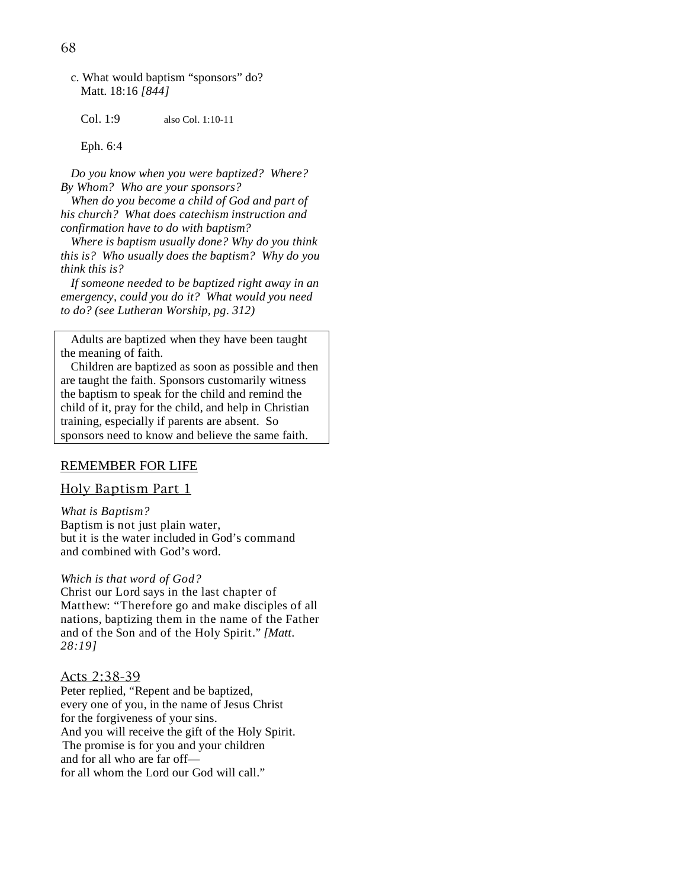c. What would baptism "sponsors" do? Matt. 18:16 *[844]*

Col. 1:9 also Col. 1:10-11

Eph. 6:4

 *Do you know when you were baptized? Where? By Whom? Who are your sponsors?* 

 *When do you become a child of God and part of his church? What does catechism instruction and confirmation have to do with baptism?* 

 *Where is baptism usually done? Why do you think this is? Who usually does the baptism? Why do you think this is?* 

 *If someone needed to be baptized right away in an emergency, could you do it? What would you need to do? (see Lutheran Worship, pg. 312)* 

 Adults are baptized when they have been taught the meaning of faith.

 Children are baptized as soon as possible and then are taught the faith. Sponsors customarily witness the baptism to speak for the child and remind the child of it, pray for the child, and help in Christian training, especially if parents are absent. So sponsors need to know and believe the same faith.

#### REMEMBER FOR LIFE

#### Holy Baptism Part 1

*What is Baptism?*  Baptism is not just plain water, but it is the water included in God's command and combined with God's word.

*Which is that word of God?*  Christ our Lord says in the last chapter of Matthew: "Therefore go and make disciples of all nations, baptizing them in the name of the Father and of the Son and of the Holy Spirit." *[Matt. 28:19]*

#### Acts 2:38-39

Peter replied, "Repent and be baptized, every one of you, in the name of Jesus Christ for the forgiveness of your sins. And you will receive the gift of the Holy Spirit. The promise is for you and your children and for all who are far off for all whom the Lord our God will call."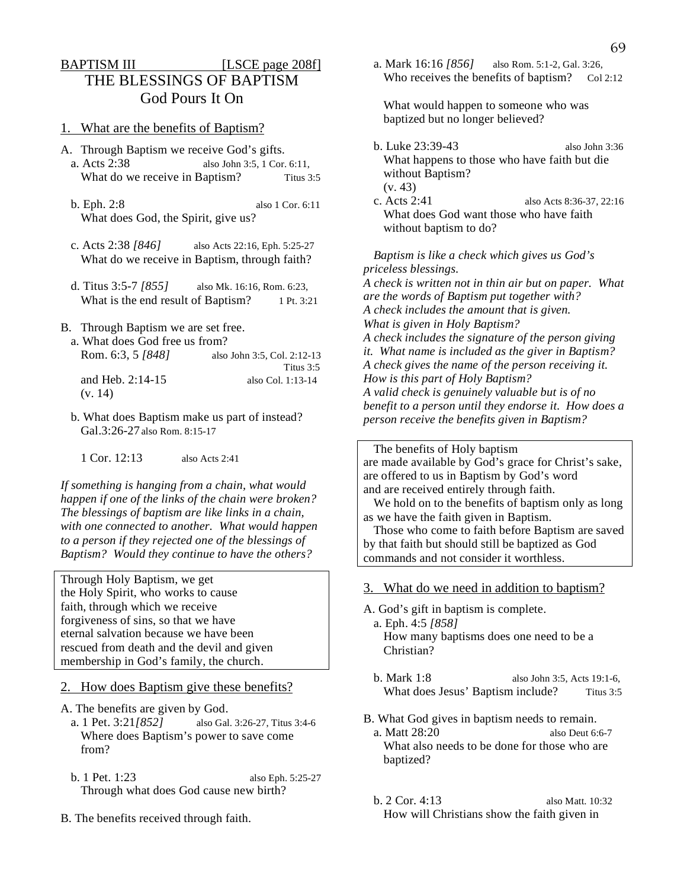# BAPTISM III [LSCE page 208f] THE BLESSINGS OF BAPTISM God Pours It On

#### 1. What are the benefits of Baptism?

- A. Through Baptism we receive God's gifts.
- a. Acts 2:38 also John 3:5, 1 Cor. 6:11, What do we receive in Baptism? Titus 3:5
- b. Eph. 2:8 also 1 Cor. 6:11 What does God, the Spirit, give us?
- c. Acts 2:38 *[846]* also Acts 22:16, Eph. 5:25-27 What do we receive in Baptism, through faith?
- d. Titus 3:5-7 *[855]* also Mk. 16:16, Rom. 6:23, What is the end result of Baptism? 1 Pt. 3:21
- B. Through Baptism we are set free.

(v. 14)

- a. What does God free us from? Rom. 6:3, 5 *[848]* also John 3:5, Col. 2:12-13 Titus 3:5 and Heb. 2:14-15 also Col. 1:13-14
- b. What does Baptism make us part of instead? Gal.3:26-27 also Rom. 8:15-17
	- 1 Cor. 12:13 also Acts 2:41

*If something is hanging from a chain, what would happen if one of the links of the chain were broken? The blessings of baptism are like links in a chain, with one connected to another. What would happen to a person if they rejected one of the blessings of Baptism? Would they continue to have the others?* 

Through Holy Baptism, we get the Holy Spirit, who works to cause faith, through which we receive forgiveness of sins, so that we have eternal salvation because we have been rescued from death and the devil and given membership in God's family, the church.

- 2. How does Baptism give these benefits?
- A. The benefits are given by God.
	- a. 1 Pet. 3:21*[852]* also Gal. 3:26-27, Titus 3:4-6 Where does Baptism's power to save come from?
	- b. 1 Pet. 1:23 also Eph. 5:25-27 Through what does God cause new birth?
- B. The benefits received through faith.

 a. Mark 16:16 *[856]* also Rom. 5:1-2, Gal. 3:26, Who receives the benefits of baptism?  $Co12:12$ 

 What would happen to someone who was baptized but no longer believed?

- b. Luke 23:39-43 also John 3:36 What happens to those who have faith but die without Baptism? (v. 43)
- c. Acts 2:41 also Acts 8:36-37, 22:16 What does God want those who have faith without baptism to do?

 *Baptism is like a check which gives us God's priceless blessings. A check is written not in thin air but on paper. What are the words of Baptism put together with? A check includes the amount that is given. What is given in Holy Baptism? A check includes the signature of the person giving it. What name is included as the giver in Baptism? A check gives the name of the person receiving it. How is this part of Holy Baptism? A valid check is genuinely valuable but is of no benefit to a person until they endorse it. How does a person receive the benefits given in Baptism?* 

 The benefits of Holy baptism are made available by God's grace for Christ's sake, are offered to us in Baptism by God's word and are received entirely through faith.

 We hold on to the benefits of baptism only as long as we have the faith given in Baptism.

 Those who come to faith before Baptism are saved by that faith but should still be baptized as God commands and not consider it worthless.

3. What do we need in addition to baptism?

A. God's gift in baptism is complete. a. Eph. 4:5 *[858]* How many baptisms does one need to be a Christian?

- b. Mark 1:8 also John 3:5, Acts 19:1-6, What does Jesus' Baptism include? Titus 3:5
- B. What God gives in baptism needs to remain. a. Matt 28:20 also Deut 6:6-7 What also needs to be done for those who are baptized?
- b. 2 Cor. 4:13 also Matt. 10:32 How will Christians show the faith given in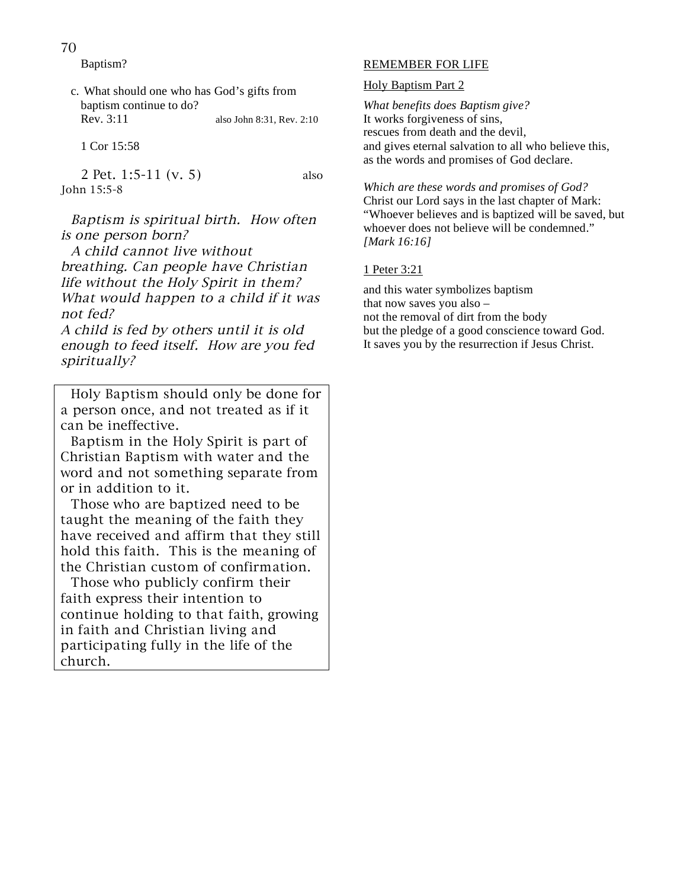70

Baptism?

 c. What should one who has God's gifts from baptism continue to do? Rev. 3:11 also John 8:31, Rev. 2:10

1 Cor 15:58

 2 Pet. 1:5-11 (v. 5) also John 15:5-8

 Baptism is spiritual birth. How often is one person born?

 A child cannot live without breathing. Can people have Christian life without the Holy Spirit in them? What would happen to a child if it was not fed?

A child is fed by others until it is old enough to feed itself. How are you fed spiritually?

 Holy Baptism should only be done for a person once, and not treated as if it can be ineffective.

 Baptism in the Holy Spirit is part of Christian Baptism with water and the word and not something separate from or in addition to it.

 Those who are baptized need to be taught the meaning of the faith they have received and affirm that they still hold this faith. This is the meaning of the Christian custom of confirmation.

 Those who publicly confirm their faith express their intention to continue holding to that faith, growing in faith and Christian living and participating fully in the life of the church.

## REMEMBER FOR LIFE

#### Holy Baptism Part 2

*What benefits does Baptism give?*  It works forgiveness of sins, rescues from death and the devil, and gives eternal salvation to all who believe this, as the words and promises of God declare.

*Which are these words and promises of God?*  Christ our Lord says in the last chapter of Mark: "Whoever believes and is baptized will be saved, but whoever does not believe will be condemned." *[Mark 16:16]*

#### 1 Peter 3:21

and this water symbolizes baptism that now saves you also – not the removal of dirt from the body but the pledge of a good conscience toward God. It saves you by the resurrection if Jesus Christ.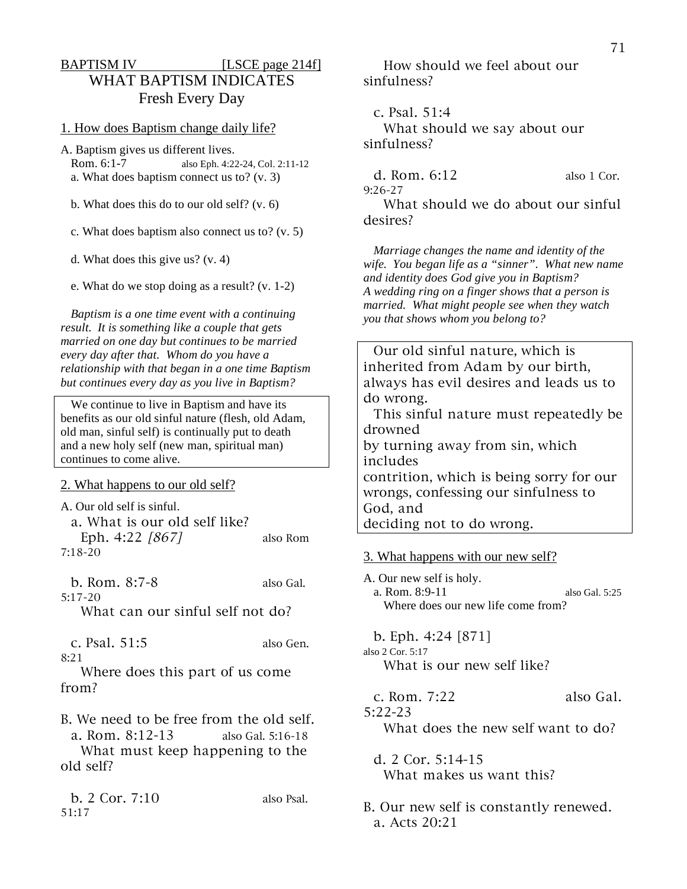# BAPTISM IV [LSCE page 214f] WHAT BAPTISM INDICATES Fresh Every Day

1. How does Baptism change daily life?

A. Baptism gives us different lives.

 Rom. 6:1-7 also Eph. 4:22-24, Col. 2:11-12 a. What does baptism connect us to? (v. 3)

b. What does this do to our old self? (v. 6)

c. What does baptism also connect us to? (v. 5)

d. What does this give us? (v. 4)

e. What do we stop doing as a result? (v. 1-2)

 *Baptism is a one time event with a continuing result. It is something like a couple that gets married on one day but continues to be married every day after that. Whom do you have a relationship with that began in a one time Baptism but continues every day as you live in Baptism?* 

 We continue to live in Baptism and have its benefits as our old sinful nature (flesh, old Adam, old man, sinful self) is continually put to death and a new holy self (new man, spiritual man) continues to come alive.

2. What happens to our old self?

A. Our old self is sinful. a. What is our old self like? Eph. 4:22 [867] also Rom 7:18-20

 b. Rom. 8:7-8 also Gal. 5:17-20 What can our sinful self not do?

 c. Psal. 51:5 also Gen. 8:21

 Where does this part of us come from?

B. We need to be free from the old self. a. Rom. 8:12-13 also Gal. 5:16-18 What must keep happening to the

old self?

 b. 2 Cor. 7:10 also Psal. 51:17

 How should we feel about our sinfulness?

 c. Psal. 51:4 What should we say about our sinfulness?

| d. Rom. $6:12$ |  | also 1 Cor. |
|----------------|--|-------------|
| 9:26-27        |  |             |
| <b>TATE</b>    |  |             |

 What should we do about our sinful desires?

 *Marriage changes the name and identity of the wife. You began life as a "sinner". What new name and identity does God give you in Baptism? A wedding ring on a finger shows that a person is married. What might people see when they watch you that shows whom you belong to?* 

 Our old sinful nature, which is inherited from Adam by our birth, always has evil desires and leads us to do wrong. This sinful nature must repeatedly be

drowned by turning away from sin, which includes contrition, which is being sorry for our wrongs, confessing our sinfulness to God, and deciding not to do wrong.

3. What happens with our new self?

A. Our new self is holy.

 a. Rom. 8:9-11 also Gal. 5:25 Where does our new life come from?

 b. Eph. 4:24 [871] also 2 Cor. 5:17 What is our new self like?

 $c.$  Rom.  $7:22$  also Gal.

5:22-23

What does the new self want to do?

 d. 2 Cor. 5:14-15 What makes us want this?

B. Our new self is constantly renewed. a. Acts 20:21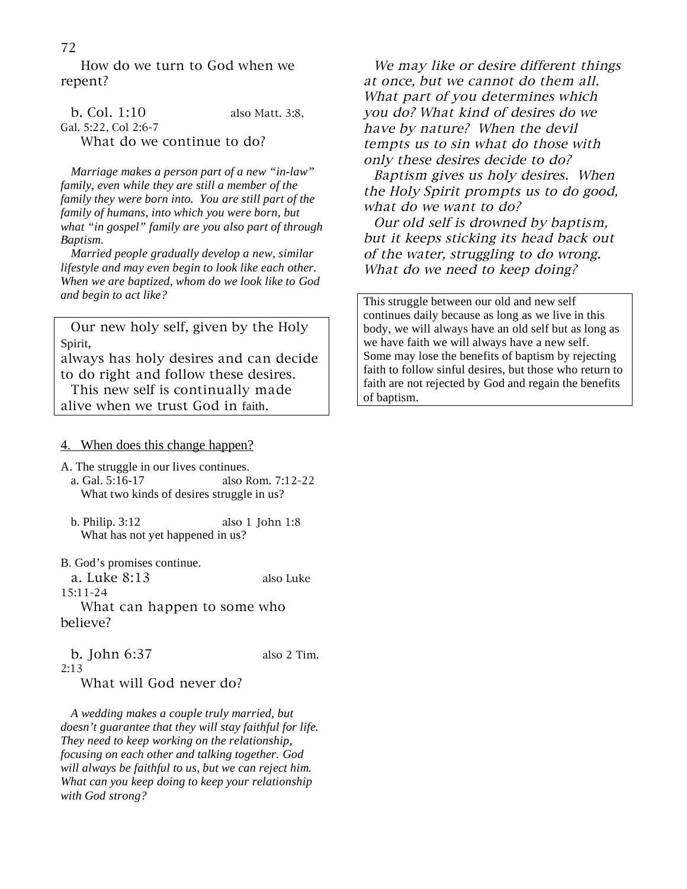How do we turn to God when we repent?

| b. Col. 1:10         | also Matt. 3:8.            |
|----------------------|----------------------------|
| Gal. 5:22, Col 2:6-7 |                            |
|                      | What do we continue to do? |

 *Marriage makes a person part of a new "in-law" family, even while they are still a member of the family they were born into. You are still part of the family of humans, into which you were born, but what "in gospel" family are you also part of through Baptism.* 

 *Married people gradually develop a new, similar lifestyle and may even begin to look like each other. When we are baptized, whom do we look like to God and begin to act like?* 

 Our new holy self, given by the Holy Spirit,

always has holy desires and can decide to do right and follow these desires.

 This new self is continually made alive when we trust God in faith.

#### 4. When does this change happen?

A. The struggle in our lives continues.

- a. Gal. 5:16-17 also Rom. 7:12-22 What two kinds of desires struggle in us?
- b. Philip. 3:12 also 1 John 1:8 What has not yet happened in us?

B. God's promises continue.

 a. Luke 8:13 also Luke 15:11-24

 What can happen to some who believe?

 b. John 6:37 also 2 Tim. 2:13 What will God never do?

 *A wedding makes a couple truly married, but doesn't guarantee that they will stay faithful for life. They need to keep working on the relationship, focusing on each other and talking together. God will always be faithful to us, but we can reject him. What can you keep doing to keep your relationship with God strong?* 

 We may like or desire different things at once, but we cannot do them all. What part of you determines which you do? What kind of desires do we have by nature? When the devil tempts us to sin what do those with only these desires decide to do?

 Baptism gives us holy desires. When the Holy Spirit prompts us to do good, what do we want to do?

 Our old self is drowned by baptism, but it keeps sticking its head back out of the water, struggling to do wrong. What do we need to keep doing?

This struggle between our old and new self continues daily because as long as we live in this body, we will always have an old self but as long as we have faith we will always have a new self. Some may lose the benefits of baptism by rejecting faith to follow sinful desires, but those who return to faith are not rejected by God and regain the benefits of baptism.

## 72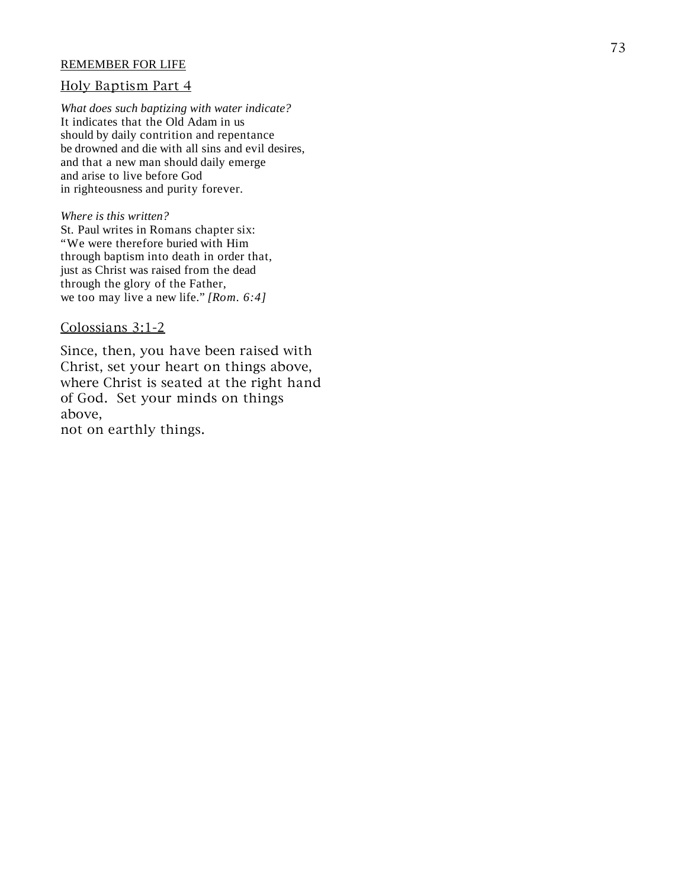#### REMEMBER FOR LIFE

#### Holy Baptism Part 4

*What does such baptizing with water indicate?*  It indicates that the Old Adam in us should by daily contrition and repentance be drowned and die with all sins and evil desires, and that a new man should daily emerge and arise to live before God in righteousness and purity forever.

#### *Where is this written?*

St. Paul writes in Romans chapter six: "We were therefore buried with Him through baptism into death in order that, just as Christ was raised from the dead through the glory of the Father, we too may live a new life." *[Rom. 6:4]*

#### Colossians 3:1-2

Since, then, you have been raised with Christ, set your heart on things above, where Christ is seated at the right hand of God. Set your minds on things above, not on earthly things.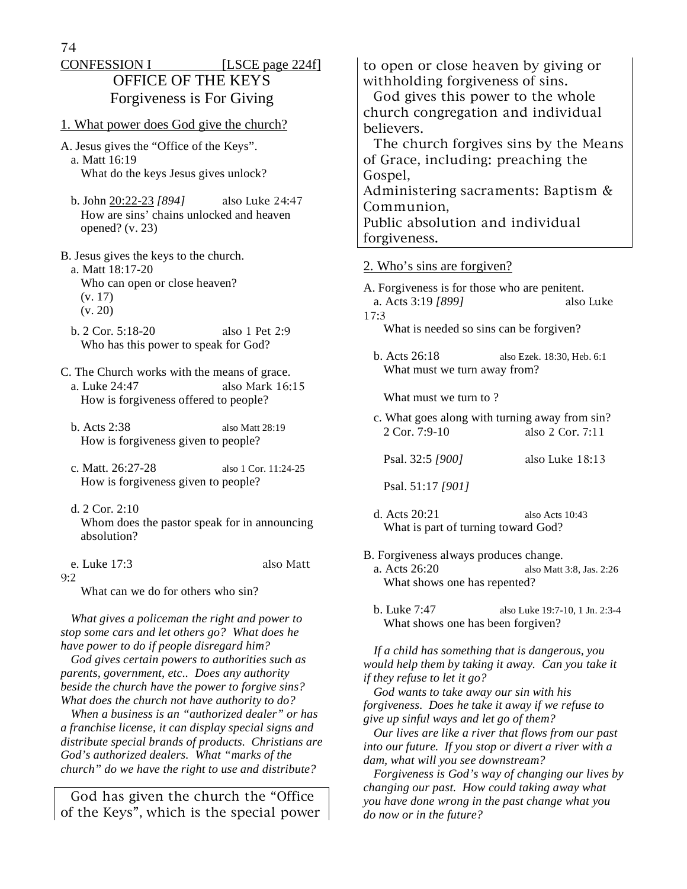| <b>CONFESSION I</b>       | [LSCE page $224f$ ] |
|---------------------------|---------------------|
| <b>OFFICE OF THE KEYS</b> |                     |
| Forgiveness is For Giving |                     |

- 1. What power does God give the church?
- A. Jesus gives the "Office of the Keys". a. Matt 16:19 What do the keys Jesus gives unlock?
	- b. John 20:22-23 *[894]* also Luke 24:47 How are sins' chains unlocked and heaven opened?  $(v. 23)$

B. Jesus gives the keys to the church.

- a. Matt 18:17-20 Who can open or close heaven? (v. 17) (v. 20)
- b. 2 Cor. 5:18-20 also 1 Pet 2:9 Who has this power to speak for God?
- C. The Church works with the means of grace. a. Luke 24:47 also Mark 16:15 How is forgiveness offered to people?
	- b. Acts 2:38 also Matt 28:19 How is forgiveness given to people?
	- c. Matt. 26:27-28 also 1 Cor. 11:24-25 How is forgiveness given to people?
- d. 2 Cor. 2:10 Whom does the pastor speak for in announcing absolution?
- e. Luke 17:3 also Matt

9:2

What can we do for others who sin?

 *What gives a policeman the right and power to stop some cars and let others go? What does he have power to do if people disregard him?* 

 *God gives certain powers to authorities such as parents, government, etc.. Does any authority beside the church have the power to forgive sins? What does the church not have authority to do?* 

 *When a business is an "authorized dealer" or has a franchise license, it can display special signs and distribute special brands of products. Christians are God's authorized dealers. What "marks of the church" do we have the right to use and distribute?*

God has given the church the "Office of the Keys", which is the special power

to open or close heaven by giving or withholding forgiveness of sins.

 God gives this power to the whole church congregation and individual believers.

 The church forgives sins by the Means of Grace, including: preaching the Gospel, Administering sacraments: Baptism &

Communion,

Public absolution and individual forgiveness.

#### 2. Who's sins are forgiven?

A. Forgiveness is for those who are penitent. a. Acts 3:19 *[899]* also Luke 17:3 What is needed so sins can be forgiven?

 b. Acts 26:18 also Ezek. 18:30, Heb. 6:1 What must we turn away from?

What must we turn to ?

 c. What goes along with turning away from sin? 2 Cor. 7:9-10 also 2 Cor. 7:11

```
 Psal. 32:5 [900] also Luke 18:13
```
Psal. 51:17 *[901]*

- d. Acts 20:21 also Acts 10:43 What is part of turning toward God?
- B. Forgiveness always produces change. a. Acts 26:20 also Matt 3:8, Jas. 2:26 What shows one has repented?
	- b. Luke 7:47 also Luke 19:7-10, 1 Jn. 2:3-4 What shows one has been forgiven?

 *If a child has something that is dangerous, you would help them by taking it away. Can you take it if they refuse to let it go?* 

 *God wants to take away our sin with his forgiveness. Does he take it away if we refuse to give up sinful ways and let go of them?* 

 *Our lives are like a river that flows from our past into our future. If you stop or divert a river with a dam, what will you see downstream?* 

 *Forgiveness is God's way of changing our lives by changing our past. How could taking away what you have done wrong in the past change what you do now or in the future?*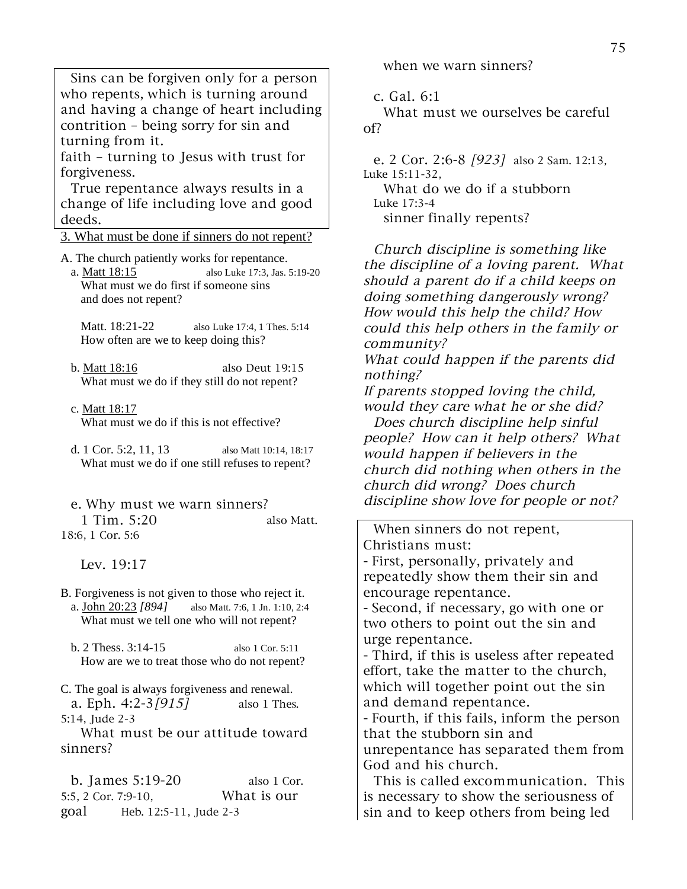Sins can be forgiven only for a person who repents, which is turning around and having a change of heart including contrition – being sorry for sin and turning from it.

faith – turning to Jesus with trust for forgiveness.

 True repentance always results in a change of life including love and good deeds.

3. What must be done if sinners do not repent?

A. The church patiently works for repentance.

 a. Matt 18:15 also Luke 17:3, Jas. 5:19-20 What must we do first if someone sins and does not repent?

 Matt. 18:21-22 also Luke 17:4, 1 Thes. 5:14 How often are we to keep doing this?

 b. Matt 18:16 also Deut 19:15 What must we do if they still do not repent?

c. Matt 18:17

What must we do if this is not effective?

 d. 1 Cor. 5:2, 11, 13 also Matt 10:14, 18:17 What must we do if one still refuses to repent?

 e. Why must we warn sinners? 1 Tim. 5:20 also Matt. 18:6, 1 Cor. 5:6

Lev. 19:17

- B. Forgiveness is not given to those who reject it. a. John 20:23 *[894]* also Matt. 7:6, 1 Jn. 1:10, 2:4 What must we tell one who will not repent?
	- b. 2 Thess. 3:14-15 also 1 Cor. 5:11 How are we to treat those who do not repent?

C. The goal is always forgiveness and renewal. a. Eph.  $4:2-3/915$  also 1 Thes. 5:14, Jude 2-3

 What must be our attitude toward sinners?

 b. James 5:19-20 also 1 Cor. 5:5, 2 Cor. 7:9-10, What is our goal Heb. 12:5-11, Jude 2-3

when we warn sinners?

c. Gal. 6:1

 What must we ourselves be careful of?

 e. 2 Cor. 2:6-8 [923] also 2 Sam. 12:13, Luke 15:11-32,

 What do we do if a stubborn Luke 17:3-4 sinner finally repents?

 Church discipline is something like the discipline of a loving parent. What should a parent do if a child keeps on doing something dangerously wrong? How would this help the child? How could this help others in the family or community?

What could happen if the parents did nothing?

If parents stopped loving the child, would they care what he or she did?

 Does church discipline help sinful people? How can it help others? What would happen if believers in the church did nothing when others in the church did wrong? Does church discipline show love for people or not?

 When sinners do not repent, Christians must:

- First, personally, privately and repeatedly show them their sin and encourage repentance.

- Second, if necessary, go with one or two others to point out the sin and urge repentance.

- Third, if this is useless after repeated effort, take the matter to the church, which will together point out the sin and demand repentance.

- Fourth, if this fails, inform the person that the stubborn sin and unrepentance has separated them from God and his church.

 This is called excommunication. This is necessary to show the seriousness of sin and to keep others from being led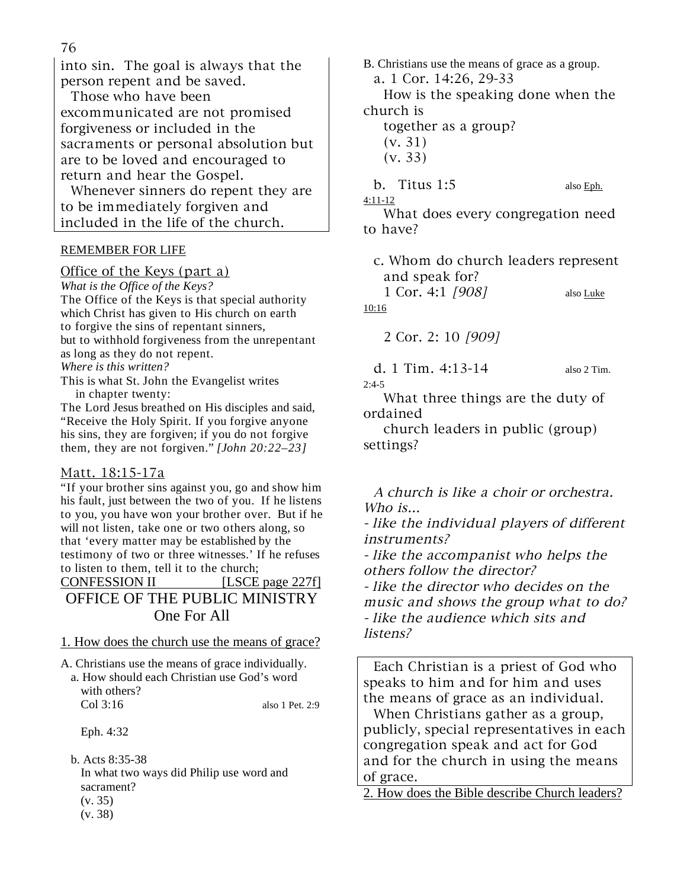76

into sin. The goal is always that the person repent and be saved.

 Those who have been excommunicated are not promised forgiveness or included in the sacraments or personal absolution but are to be loved and encouraged to return and hear the Gospel.

 Whenever sinners do repent they are to be immediately forgiven and included in the life of the church.

## REMEMBER FOR LIFE

Office of the Keys (part a) *What is the Office of the Keys?*  The Office of the Keys is that special authority which Christ has given to His church on earth to forgive the sins of repentant sinners, but to withhold forgiveness from the unrepentant as long as they do not repent. *Where is this written?* 

This is what St. John the Evangelist writes in chapter twenty:

The Lord Jesus breathed on His disciples and said, "Receive the Holy Spirit. If you forgive anyone his sins, they are forgiven; if you do not forgive them, they are not forgiven." *[John 20:22–23]* 

## Matt. 18:15-17a

"If your brother sins against you, go and show him his fault, just between the two of you. If he listens to you, you have won your brother over. But if he will not listen, take one or two others along, so that 'every matter may be established by the testimony of two or three witnesses.' If he refuses to listen to them, tell it to the church;

# CONFESSION II [LSCE page 227f] OFFICE OF THE PUBLIC MINISTRY One For All

## 1. How does the church use the means of grace?

A. Christians use the means of grace individually. a. How should each Christian use God's word with others? Col 3:16 also 1 Pet. 2:9

Eph. 4:32

 b. Acts 8:35-38 In what two ways did Philip use word and sacrament? (v. 35)

(v. 38)

B. Christians use the means of grace as a group. a. 1 Cor. 14:26, 29-33 How is the speaking done when the church is together as a group? (v. 31) (v. 33) b. Titus 1:5 also Eph. 4:11-12

 What does every congregation need to have?

 c. Whom do church leaders represent and speak for?

1 Cor. 4:1 [908] also Luke 10:16

2 Cor. 2: 10 [909]

 d. 1 Tim. 4:13-14 also 2 Tim.  $2:4-5$ 

 What three things are the duty of ordained

 church leaders in public (group) settings?

 A church is like a choir or orchestra. Who is... - like the individual players of different

instruments?

- like the accompanist who helps the others follow the director?

- like the director who decides on the music and shows the group what to do? - like the audience which sits and listens?

 Each Christian is a priest of God who speaks to him and for him and uses the means of grace as an individual.

 When Christians gather as a group, publicly, special representatives in each congregation speak and act for God and for the church in using the means of grace.

2. How does the Bible describe Church leaders?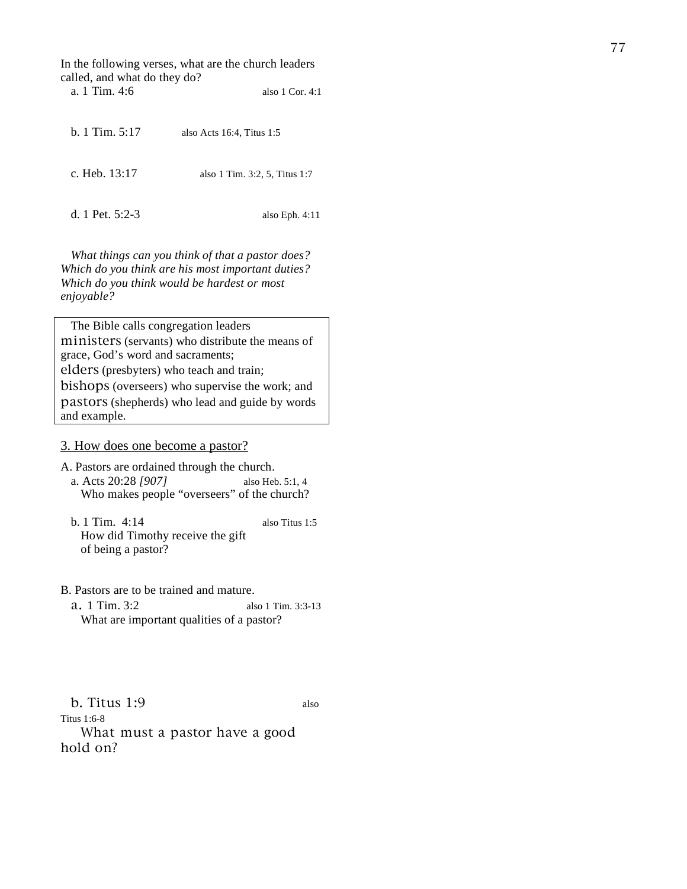In the following verses, what are the church leaders called, and what do they do? a. 1 Tim. 4:6 also 1 Cor. 4:1

 b. 1 Tim. 5:17 also Acts 16:4, Titus 1:5 c. Heb. 13:17 also 1 Tim. 3:2, 5, Titus 1:7 d. 1 Pet. 5:2-3 also Eph. 4:11

 *What things can you think of that a pastor does? Which do you think are his most important duties? Which do you think would be hardest or most enjoyable?* 

 The Bible calls congregation leaders ministers (servants) who distribute the means of grace, God's word and sacraments; elders (presbyters) who teach and train; bishops (overseers) who supervise the work; and pastors (shepherds) who lead and guide by words and example.

#### 3. How does one become a pastor?

A. Pastors are ordained through the church. a. Acts 20:28 *[907]* also Heb. 5:1, 4 Who makes people "overseers" of the church?

 b. 1 Tim. 4:14 also Titus 1:5 How did Timothy receive the gift of being a pastor?

## B. Pastors are to be trained and mature. a. 1 Tim. 3:2 also 1 Tim. 3:3-13 What are important qualities of a pastor?

 b. Titus 1:9 also Titus 1:6-8 What must a pastor have a good hold on?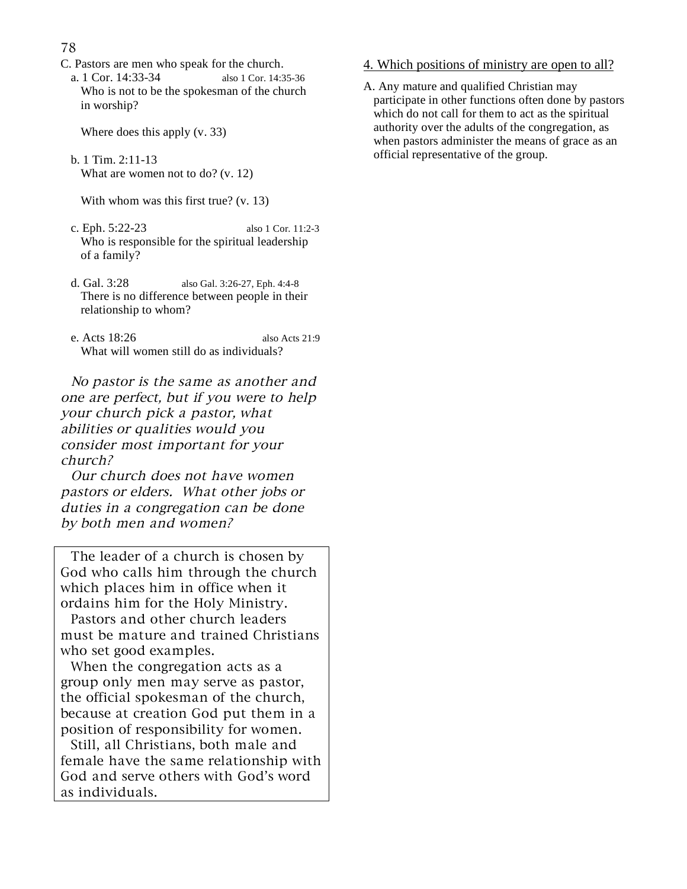78

- C. Pastors are men who speak for the church.
	- a. 1 Cor. 14:33-34 also 1 Cor. 14:35-36 Who is not to be the spokesman of the church in worship?

Where does this apply (v. 33)

 b. 1 Tim. 2:11-13 What are women not to do? (v. 12)

With whom was this first true? (v. 13)

- c. Eph. 5:22-23 also 1 Cor. 11:2-3 Who is responsible for the spiritual leadership of a family?
- d. Gal. 3:28 also Gal. 3:26-27, Eph. 4:4-8 There is no difference between people in their relationship to whom?
- e. Acts 18:26 also Acts 21:9 What will women still do as individuals?

 No pastor is the same as another and one are perfect, but if you were to help your church pick a pastor, what abilities or qualities would you consider most important for your church?

 Our church does not have women pastors or elders. What other jobs or duties in a congregation can be done by both men and women?

 The leader of a church is chosen by God who calls him through the church which places him in office when it ordains him for the Holy Ministry.

 Pastors and other church leaders must be mature and trained Christians who set good examples.

 When the congregation acts as a group only men may serve as pastor, the official spokesman of the church, because at creation God put them in a position of responsibility for women.

 Still, all Christians, both male and female have the same relationship with God and serve others with God's word as individuals.

## 4. Which positions of ministry are open to all?

A. Any mature and qualified Christian may participate in other functions often done by pastors which do not call for them to act as the spiritual authority over the adults of the congregation, as when pastors administer the means of grace as an official representative of the group.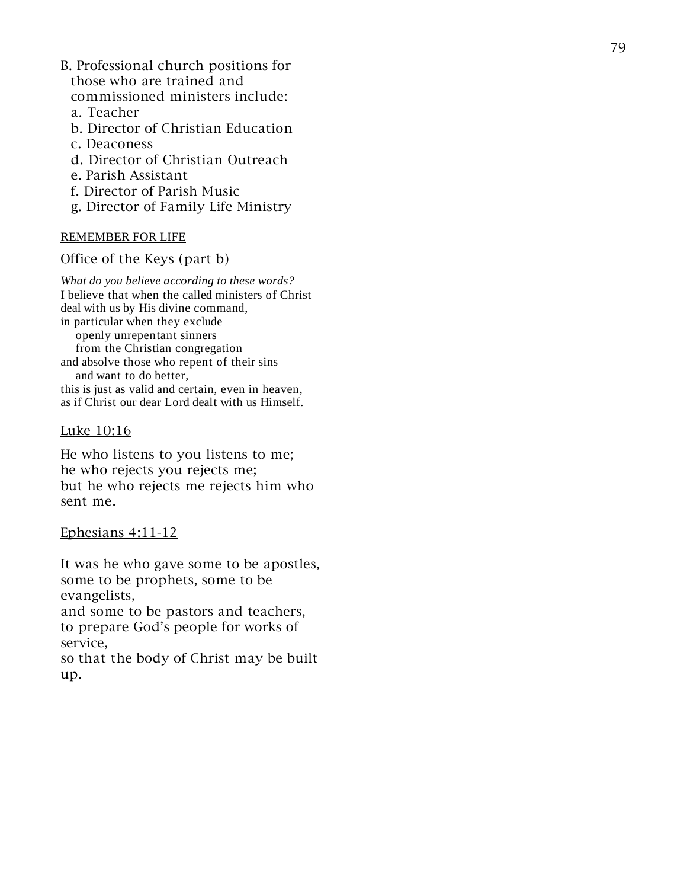- B. Professional church positions for those who are trained and commissioned ministers include:
	- a. Teacher
	- b. Director of Christian Education
	- c. Deaconess
	- d. Director of Christian Outreach
	- e. Parish Assistant
	- f. Director of Parish Music
	- g. Director of Family Life Ministry

## REMEMBER FOR LIFE

#### Office of the Keys (part b)

*What do you believe according to these words?*  I believe that when the called ministers of Christ deal with us by His divine command, in particular when they exclude openly unrepentant sinners from the Christian congregation and absolve those who repent of their sins and want to do better, this is just as valid and certain, even in heaven, as if Christ our dear Lord dealt with us Himself.

## Luke 10:16

He who listens to you listens to me; he who rejects you rejects me; but he who rejects me rejects him who sent me.

## Ephesians 4:11-12

It was he who gave some to be apostles, some to be prophets, some to be evangelists,

and some to be pastors and teachers, to prepare God's people for works of service,

so that the body of Christ may be built up.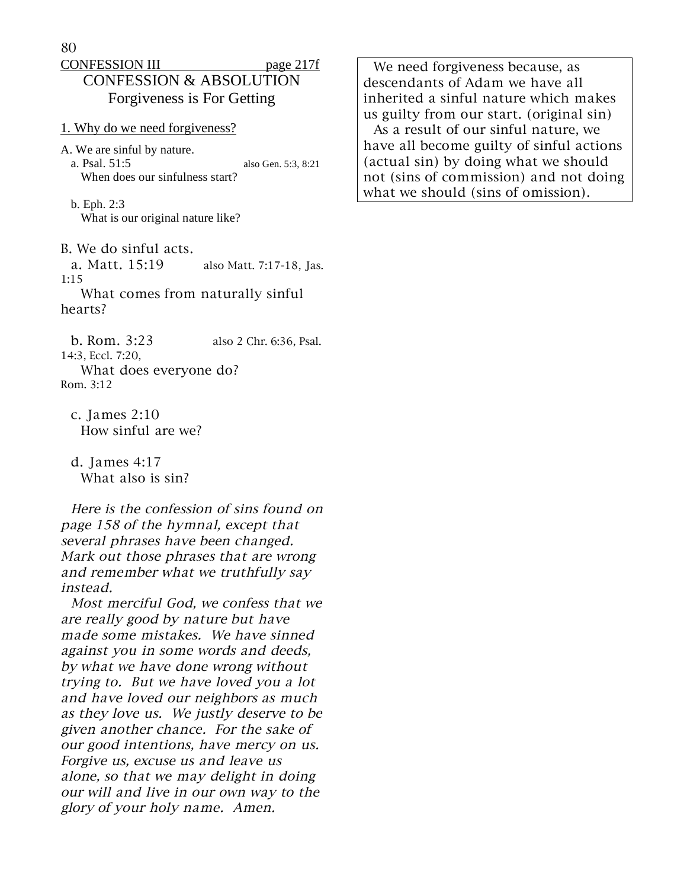## CONFESSION III page 217f CONFESSION & ABSOLUTION Forgiveness is For Getting

1. Why do we need forgiveness?

- A. We are sinful by nature. a. Psal. 51:5 also Gen. 5:3, 8:21 When does our sinfulness start?
	- b. Eph. 2:3 What is our original nature like?
- B. We do sinful acts.
- a. Matt. 15:19 also Matt. 7:17-18, Jas. 1:15
- What comes from naturally sinful hearts?

 b. Rom. 3:23 also 2 Chr. 6:36, Psal. 14:3, Eccl. 7:20, What does everyone do? Rom. 3:12

 c. James 2:10 How sinful are we?

 d. James 4:17 What also is sin?

 Here is the confession of sins found on page 158 of the hymnal, except that several phrases have been changed. Mark out those phrases that are wrong and remember what we truthfully say instead.

 Most merciful God, we confess that we are really good by nature but have made some mistakes. We have sinned against you in some words and deeds, by what we have done wrong without trying to. But we have loved you a lot and have loved our neighbors as much as they love us. We justly deserve to be given another chance. For the sake of our good intentions, have mercy on us. Forgive us, excuse us and leave us alone, so that we may delight in doing our will and live in our own way to the glory of your holy name. Amen.

 We need forgiveness because, as descendants of Adam we have all inherited a sinful nature which makes us guilty from our start. (original sin) As a result of our sinful nature, we have all become guilty of sinful actions (actual sin) by doing what we should not (sins of commission) and not doing what we should (sins of omission).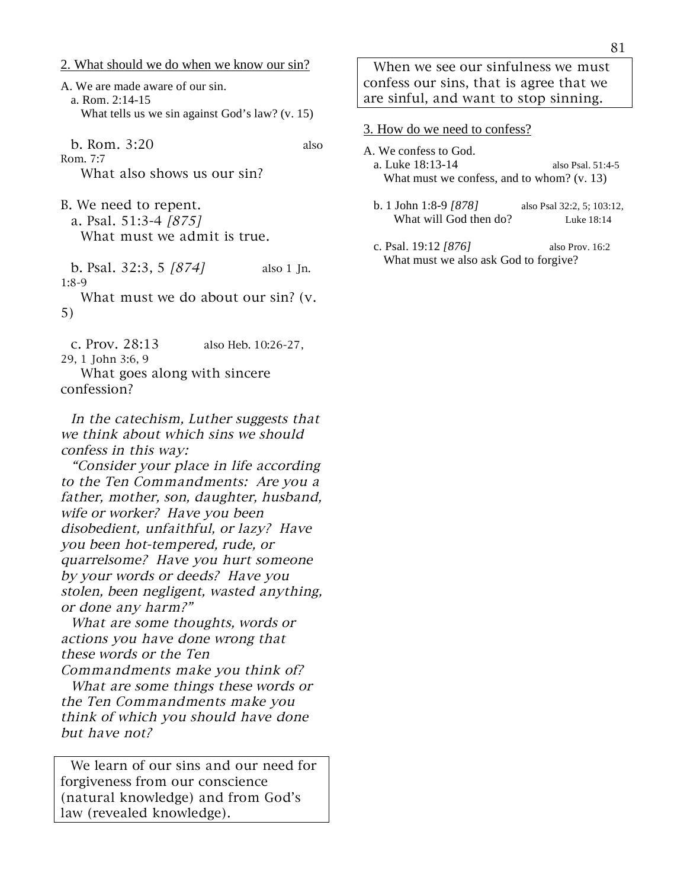2. What should we do when we know our sin?

A. We are made aware of our sin. a. Rom. 2:14-15 What tells us we sin against God's law? (v. 15)

b. Rom. 3:20 also

Rom. 7:7 What also shows us our sin?

B. We need to repent. a. Psal. 51:3-4 [875] What must we admit is true.

b. Psal.  $32:3, 5 [874]$  also 1 Jn. 1:8-9

 What must we do about our sin? (v. 5)

 c. Prov. 28:13 also Heb. 10:26-27, 29, 1 John 3:6, 9

 What goes along with sincere confession?

 In the catechism, Luther suggests that we think about which sins we should confess in this way:

 "Consider your place in life according to the Ten Commandments: Are you a father, mother, son, daughter, husband, wife or worker? Have you been disobedient, unfaithful, or lazy? Have you been hot-tempered, rude, or quarrelsome? Have you hurt someone by your words or deeds? Have you stolen, been negligent, wasted anything, or done any harm?"

 What are some thoughts, words or actions you have done wrong that these words or the Ten Commandments make you think of?

 What are some things these words or the Ten Commandments make you think of which you should have done but have not?

 We learn of our sins and our need for forgiveness from our conscience (natural knowledge) and from God's law (revealed knowledge).

 When we see our sinfulness we must confess our sins, that is agree that we are sinful, and want to stop sinning.

## 3. How do we need to confess?

- A. We confess to God. a. Luke 18:13-14 also Psal. 51:4-5 What must we confess, and to whom? (v. 13)
	- b. 1 John 1:8-9 *[878]* also Psal 32:2, 5; 103:12, What will God then do? Luke 18:14
	- c. Psal. 19:12 *[876]* also Prov. 16:2 What must we also ask God to forgive?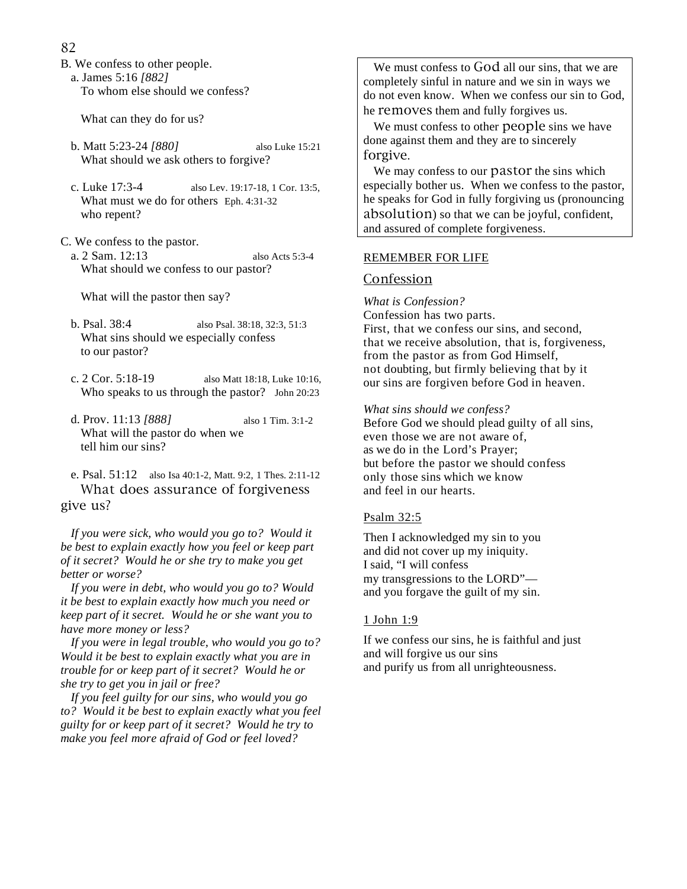- 82
- B. We confess to other people.
	- a. James 5:16 *[882]*

To whom else should we confess?

What can they do for us?

- b. Matt 5:23-24 *[880]* also Luke 15:21 What should we ask others to forgive?
- c. Luke 17:3-4 also Lev. 19:17-18, 1 Cor. 13:5, What must we do for others Eph. 4:31-32 who repent?
- C. We confess to the pastor.
	- a. 2 Sam. 12:13 also Acts 5:3-4 What should we confess to our pastor?

What will the pastor then say?

- b. Psal. 38:4 also Psal. 38:18, 32:3, 51:3 What sins should we especially confess to our pastor?
- c. 2 Cor. 5:18-19 also Matt 18:18, Luke 10:16, Who speaks to us through the pastor? John 20:23
- d. Prov. 11:13 *[888]* also 1 Tim. 3:1-2 What will the pastor do when we tell him our sins?
- e. Psal. 51:12 also Isa 40:1-2, Matt. 9:2, 1 Thes. 2:11-12 What does assurance of forgiveness give us?

 *If you were sick, who would you go to? Would it be best to explain exactly how you feel or keep part of it secret? Would he or she try to make you get better or worse?* 

 *If you were in debt, who would you go to? Would it be best to explain exactly how much you need or keep part of it secret. Would he or she want you to have more money or less?* 

 *If you were in legal trouble, who would you go to? Would it be best to explain exactly what you are in trouble for or keep part of it secret? Would he or she try to get you in jail or free?* 

 *If you feel guilty for our sins, who would you go to? Would it be best to explain exactly what you feel guilty for or keep part of it secret? Would he try to make you feel more afraid of God or feel loved?* 

 We must confess to God all our sins, that we are completely sinful in nature and we sin in ways we do not even know. When we confess our sin to God, he removes them and fully forgives us.

 We must confess to other people sins we have done against them and they are to sincerely forgive.

 We may confess to our pastor the sins which especially bother us. When we confess to the pastor, he speaks for God in fully forgiving us (pronouncing absolution) so that we can be joyful, confident, and assured of complete forgiveness.

#### REMEMBER FOR LIFE

## **Confession**

*What is Confession?*  Confession has two parts. First, that we confess our sins, and second, that we receive absolution, that is, forgiveness, from the pastor as from God Himself, not doubting, but firmly believing that by it our sins are forgiven before God in heaven.

*What sins should we confess?*  Before God we should plead guilty of all sins, even those we are not aware of, as we do in the Lord's Prayer; but before the pastor we should confess only those sins which we know and feel in our hearts.

## Psalm 32:5

Then I acknowledged my sin to you and did not cover up my iniquity. I said, "I will confess my transgressions to the LORD" and you forgave the guilt of my sin.

#### 1 John 1:9

If we confess our sins, he is faithful and just and will forgive us our sins and purify us from all unrighteousness.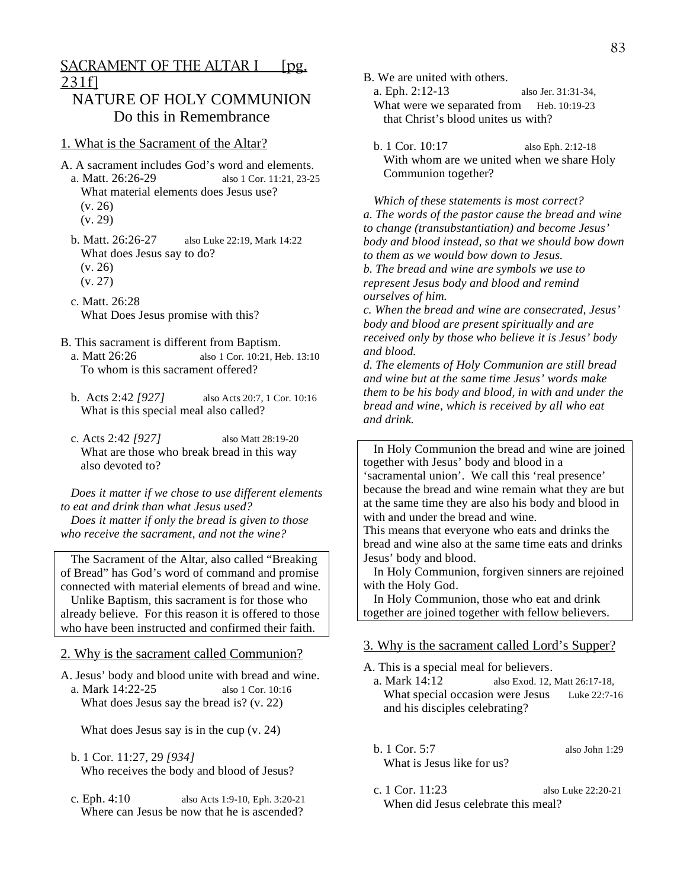# NATURE OF HOLY COMMUNION Do this in Remembrance

#### 1. What is the Sacrament of the Altar?

- A. A sacrament includes God's word and elements. a. Matt. 26:26-29 also 1 Cor. 11:21, 23-25 What material elements does Jesus use? (v. 26) (v. 29)
	- b. Matt. 26:26-27 also Luke 22:19, Mark 14:22 What does Jesus say to do? (v. 26) (v. 27)
	- c. Matt. 26:28 What Does Jesus promise with this?
- B. This sacrament is different from Baptism.
	- a. Matt 26:26 also 1 Cor. 10:21, Heb. 13:10 To whom is this sacrament offered?
	- b. Acts 2:42 *[927]* also Acts 20:7, 1 Cor. 10:16 What is this special meal also called?
	- c. Acts 2:42 *[927]* also Matt 28:19-20 What are those who break bread in this way also devoted to?

 *Does it matter if we chose to use different elements to eat and drink than what Jesus used? Does it matter if only the bread is given to those who receive the sacrament, and not the wine?* 

 The Sacrament of the Altar, also called "Breaking of Bread" has God's word of command and promise connected with material elements of bread and wine. Unlike Baptism, this sacrament is for those who already believe. For this reason it is offered to those who have been instructed and confirmed their faith.

#### 2. Why is the sacrament called Communion?

A. Jesus' body and blood unite with bread and wine. a. Mark 14:22-25 also 1 Cor. 10:16 What does Jesus say the bread is? (v. 22)

What does Jesus say is in the cup (v. 24)

- b. 1 Cor. 11:27, 29 *[934]* Who receives the body and blood of Jesus?
- c. Eph. 4:10 also Acts 1:9-10, Eph. 3:20-21 Where can Jesus be now that he is ascended?
- B. We are united with others.
	- a. Eph. 2:12-13 also Jer. 31:31-34, What were we separated from Heb. 10:19-23 that Christ's blood unites us with?
	- b. 1 Cor. 10:17 also Eph. 2:12-18 With whom are we united when we share Holy Communion together?

 *Which of these statements is most correct? a. The words of the pastor cause the bread and wine to change (transubstantiation) and become Jesus' body and blood instead, so that we should bow down to them as we would bow down to Jesus. b. The bread and wine are symbols we use to represent Jesus body and blood and remind ourselves of him.* 

*c. When the bread and wine are consecrated, Jesus' body and blood are present spiritually and are received only by those who believe it is Jesus' body and blood.* 

*d. The elements of Holy Communion are still bread and wine but at the same time Jesus' words make them to be his body and blood, in with and under the bread and wine, which is received by all who eat and drink.* 

 In Holy Communion the bread and wine are joined together with Jesus' body and blood in a 'sacramental union'. We call this 'real presence' because the bread and wine remain what they are but at the same time they are also his body and blood in with and under the bread and wine.

This means that everyone who eats and drinks the bread and wine also at the same time eats and drinks Jesus' body and blood.

 In Holy Communion, forgiven sinners are rejoined with the Holy God.

 In Holy Communion, those who eat and drink together are joined together with fellow believers.

#### 3. Why is the sacrament called Lord's Supper?

A. This is a special meal for believers.<br>a. Mark 14:12 also Exod. 12.

- also Exod. 12, Matt 26:17-18, What special occasion were Jesus Luke 22:7-16 and his disciples celebrating?
- b. 1 Cor. 5:7 also John 1:29 What is Jesus like for us?
- c. 1 Cor. 11:23 also Luke 22:20-21 When did Jesus celebrate this meal?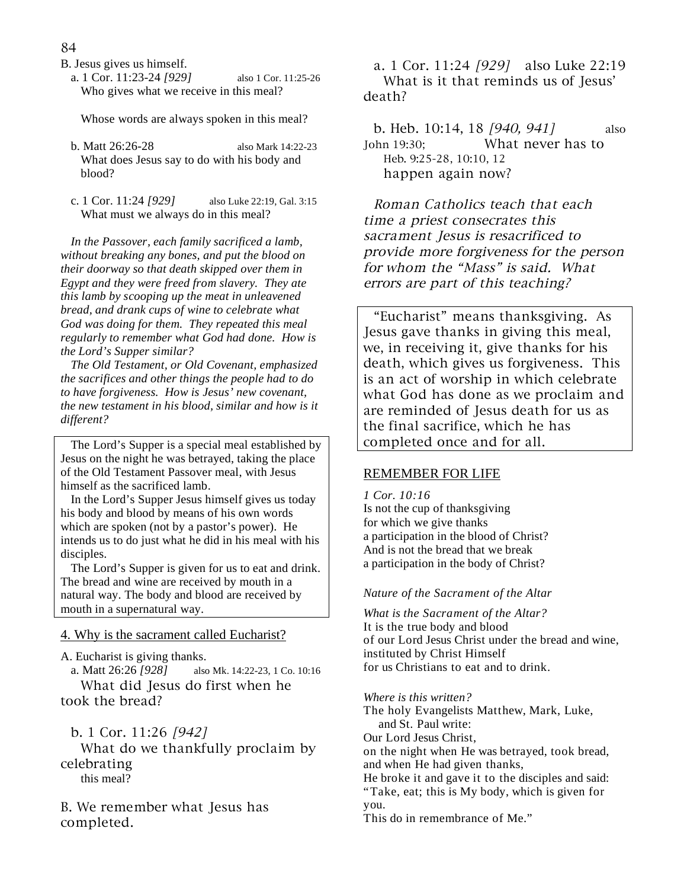- B. Jesus gives us himself.
	- a. 1 Cor. 11:23-24 *[929]* also 1 Cor. 11:25-26 Who gives what we receive in this meal?

Whose words are always spoken in this meal?

- b. Matt 26:26-28 also Mark 14:22-23 What does Jesus say to do with his body and blood?
- c. 1 Cor. 11:24 *[929]* also Luke 22:19, Gal. 3:15 What must we always do in this meal?

 *In the Passover, each family sacrificed a lamb, without breaking any bones, and put the blood on their doorway so that death skipped over them in Egypt and they were freed from slavery. They ate this lamb by scooping up the meat in unleavened bread, and drank cups of wine to celebrate what God was doing for them. They repeated this meal regularly to remember what God had done. How is the Lord's Supper similar?* 

 *The Old Testament, or Old Covenant, emphasized the sacrifices and other things the people had to do to have forgiveness. How is Jesus' new covenant, the new testament in his blood, similar and how is it different?* 

 The Lord's Supper is a special meal established by Jesus on the night he was betrayed, taking the place of the Old Testament Passover meal, with Jesus himself as the sacrificed lamb.

 In the Lord's Supper Jesus himself gives us today his body and blood by means of his own words which are spoken (not by a pastor's power). He intends us to do just what he did in his meal with his disciples.

 The Lord's Supper is given for us to eat and drink. The bread and wine are received by mouth in a natural way. The body and blood are received by mouth in a supernatural way.

## 4. Why is the sacrament called Eucharist?

A. Eucharist is giving thanks.

 a. Matt 26:26 *[928]* also Mk. 14:22-23, 1 Co. 10:16 What did Jesus do first when he took the bread?

b. 1 Cor. 11:26 [942]

 What do we thankfully proclaim by celebrating this meal?

B. We remember what Jesus has completed.

 a. 1 Cor. 11:24 [929] also Luke 22:19 What is it that reminds us of Jesus' death?

b. Heb. 10:14, 18 [940, 941] also John 19:30; What never has to Heb. 9:25-28, 10:10, 12 happen again now?

 Roman Catholics teach that each time a priest consecrates this sacrament Jesus is resacrificed to provide more forgiveness for the person for whom the "Mass" is said. What errors are part of this teaching?

 "Eucharist" means thanksgiving. As Jesus gave thanks in giving this meal, we, in receiving it, give thanks for his death, which gives us forgiveness. This is an act of worship in which celebrate what God has done as we proclaim and are reminded of Jesus death for us as the final sacrifice, which he has completed once and for all.

## REMEMBER FOR LIFE

*1 Cor. 10:16* 

Is not the cup of thanksgiving for which we give thanks a participation in the blood of Christ? And is not the bread that we break a participation in the body of Christ?

## *Nature of the Sacrament of the Altar*

*What is the Sacrament of the Altar?*  It is the true body and blood of our Lord Jesus Christ under the bread and wine, instituted by Christ Himself for us Christians to eat and to drink.

*Where is this written?* 

The holy Evangelists Matthew, Mark, Luke, and St. Paul write: Our Lord Jesus Christ, on the night when He was betrayed, took bread, and when He had given thanks, He broke it and gave it to the disciples and said: "Take, eat; this is My body, which is given for you. This do in remembrance of Me."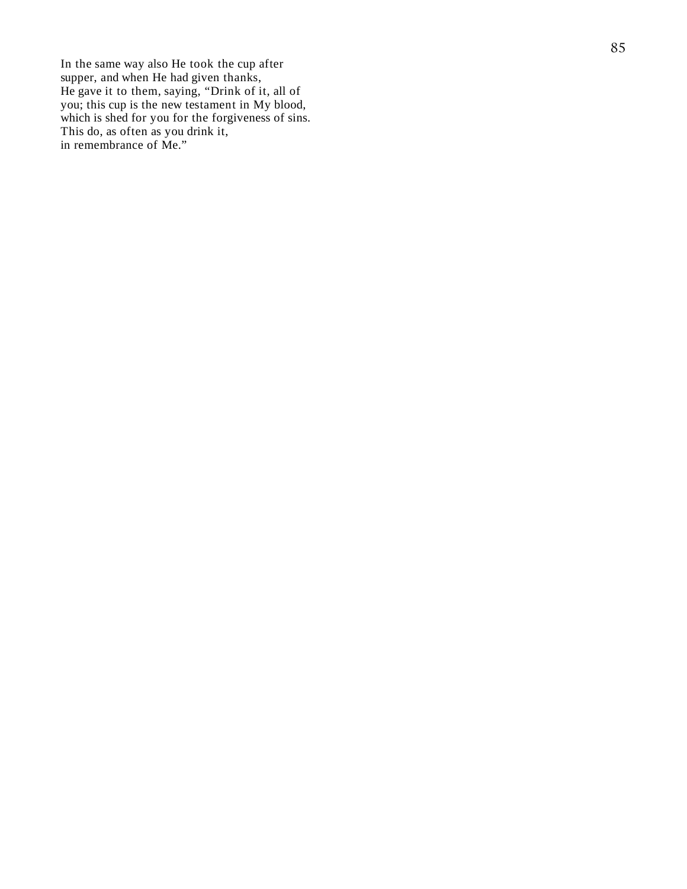In the same way also He took the cup after supper, and when He had given thanks, He gave it to them, saying, "Drink of it, all of you; this cup is the new testament in My blood, which is shed for you for the forgiveness of sins. This do, as often as you drink it, in remembrance of Me."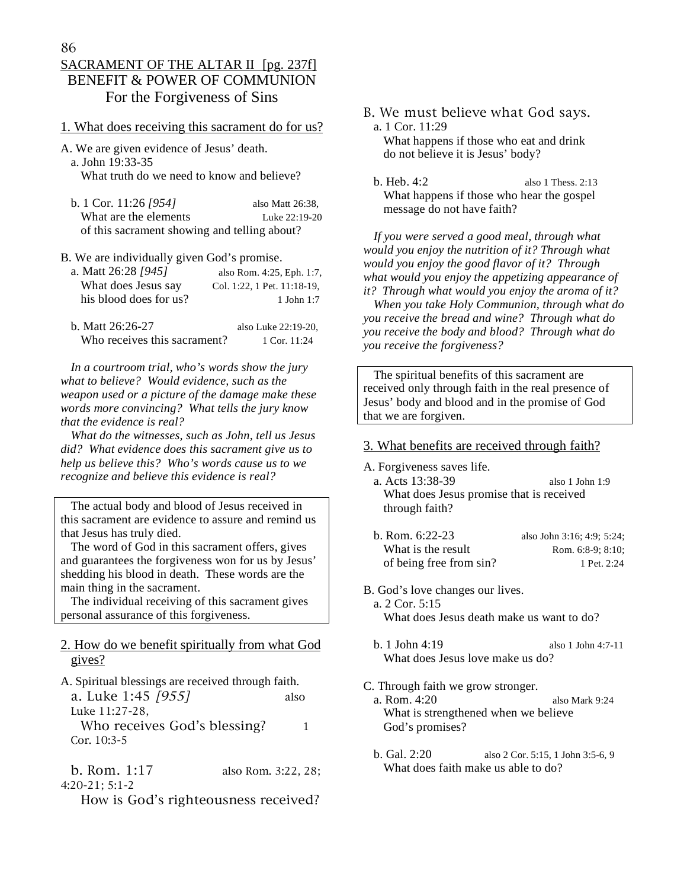# SACRAMENT OF THE ALTAR II [pg. 237f] BENEFIT & POWER OF COMMUNION For the Forgiveness of Sins

## 1. What does receiving this sacrament do for us?

A. We are given evidence of Jesus' death. a. John 19:33-35

What truth do we need to know and believe?

 b. 1 Cor. 11:26 *[954]* also Matt 26:38, What are the elements Luke 22:19-20 of this sacrament showing and telling about?

B. We are individually given God's promise.

| a. Matt 26:28 [945]    | also Rom. 4:25, Eph. 1:7,   |
|------------------------|-----------------------------|
| What does Jesus say    | Col. 1:22, 1 Pet. 11:18-19, |
| his blood does for us? | $1$ John $1:7$              |

 b. Matt 26:26-27 also Luke 22:19-20, Who receives this sacrament? 1 Cor. 11:24

 *In a courtroom trial, who's words show the jury what to believe? Would evidence, such as the weapon used or a picture of the damage make these words more convincing? What tells the jury know that the evidence is real?* 

 *What do the witnesses, such as John, tell us Jesus did? What evidence does this sacrament give us to help us believe this? Who's words cause us to we recognize and believe this evidence is real?* 

 The actual body and blood of Jesus received in this sacrament are evidence to assure and remind us that Jesus has truly died.

 The word of God in this sacrament offers, gives and guarantees the forgiveness won for us by Jesus' shedding his blood in death. These words are the main thing in the sacrament.

 The individual receiving of this sacrament gives personal assurance of this forgiveness.

## 2. How do we benefit spiritually from what God gives?

A. Spiritual blessings are received through faith. a. Luke 1:45 [955] also

Luke 11:27-28,

Who receives God's blessing?  $1$ Cor. 10:3-5

 b. Rom. 1:17 also Rom. 3:22, 28; 4:20-21; 5:1-2

How is God's righteousness received?

B. We must believe what God says. a. 1 Cor. 11:29 What happens if those who eat and drink do not believe it is Jesus' body?

 b. Heb. 4:2 also 1 Thess. 2:13 What happens if those who hear the gospel message do not have faith?

 *If you were served a good meal, through what would you enjoy the nutrition of it? Through what would you enjoy the good flavor of it? Through what would you enjoy the appetizing appearance of it? Through what would you enjoy the aroma of it?* 

 *When you take Holy Communion, through what do you receive the bread and wine? Through what do you receive the body and blood? Through what do you receive the forgiveness?* 

 The spiritual benefits of this sacrament are received only through faith in the real presence of Jesus' body and blood and in the promise of God that we are forgiven.

#### 3. What benefits are received through faith?

A. Forgiveness saves life.

- a. Acts 13:38-39 also 1 John 1:9 What does Jesus promise that is received through faith?
- b. Rom. 6:22-23 also John 3:16; 4:9; 5:24; What is the result  $\mu$  Rom. 6:8-9; 8:10; of being free from sin? 1 Pet. 2:24
- B. God's love changes our lives. a. 2 Cor. 5:15 What does Jesus death make us want to do?
	- b. 1 John 4:19 also 1 John 4:7-11 What does Jesus love make us do?

C. Through faith we grow stronger.

- a. Rom. 4:20 also Mark 9:24 What is strengthened when we believe God's promises?
- b. Gal. 2:20 also 2 Cor. 5:15, 1 John 3:5-6, 9 What does faith make us able to do?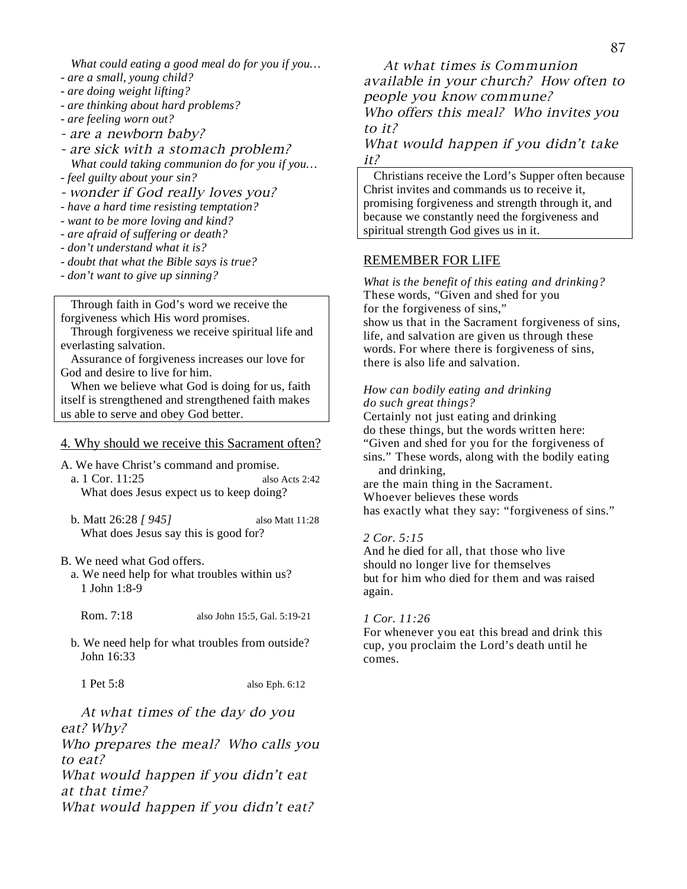*What could eating a good meal do for you if you…* 

- *are a small, young child?*
- *are doing weight lifting?*
- *are thinking about hard problems?*
- *are feeling worn out?*
- are a newborn baby?

- are sick with a stomach problem?  *What could taking communion do for you if you…* 

- *feel guilty about your sin?*
- wonder if God really loves you?

*- have a hard time resisting temptation?* 

- *want to be more loving and kind?*
- *are afraid of suffering or death?*
- *don't understand what it is?*
- *doubt that what the Bible says is true?*
- *don't want to give up sinning?*

 Through faith in God's word we receive the forgiveness which His word promises.

 Through forgiveness we receive spiritual life and everlasting salvation.

 Assurance of forgiveness increases our love for God and desire to live for him.

 When we believe what God is doing for us, faith itself is strengthened and strengthened faith makes us able to serve and obey God better.

#### 4. Why should we receive this Sacrament often?

- A. We have Christ's command and promise.
	- a. 1 Cor. 11:25 also Acts 2:42 What does Jesus expect us to keep doing?
	- b. Matt 26:28 *[ 945]* also Matt 11:28 What does Jesus say this is good for?

#### B. We need what God offers.

- a. We need help for what troubles within us? 1 John 1:8-9
	- Rom. 7:18 also John 15:5, Gal. 5:19-21
- b. We need help for what troubles from outside? John 16:33

1 Pet 5:8 also Eph. 6:12

 At what times of the day do you eat? Why?

Who prepares the meal? Who calls you to eat?

What would happen if you didn't eat at that time?

What would happen if you didn't eat?

 At what times is Communion available in your church? How often to people you know commune? Who offers this meal? Who invites you to it?

What would happen if you didn't take it?

 Christians receive the Lord's Supper often because Christ invites and commands us to receive it, promising forgiveness and strength through it, and because we constantly need the forgiveness and spiritual strength God gives us in it.

#### REMEMBER FOR LIFE

*What is the benefit of this eating and drinking?*  These words, "Given and shed for you for the forgiveness of sins," show us that in the Sacrament forgiveness of sins, life, and salvation are given us through these words. For where there is forgiveness of sins, there is also life and salvation.

#### *How can bodily eating and drinking do such great things?*

Certainly not just eating and drinking do these things, but the words written here: "Given and shed for you for the forgiveness of sins." These words, along with the bodily eating and drinking, are the main thing in the Sacrament. Whoever believes these words has exactly what they say: "forgiveness of sins."

## *2 Cor. 5:15*

And he died for all, that those who live should no longer live for themselves but for him who died for them and was raised again.

#### *1 Cor. 11:26*

For whenever you eat this bread and drink this cup, you proclaim the Lord's death until he comes.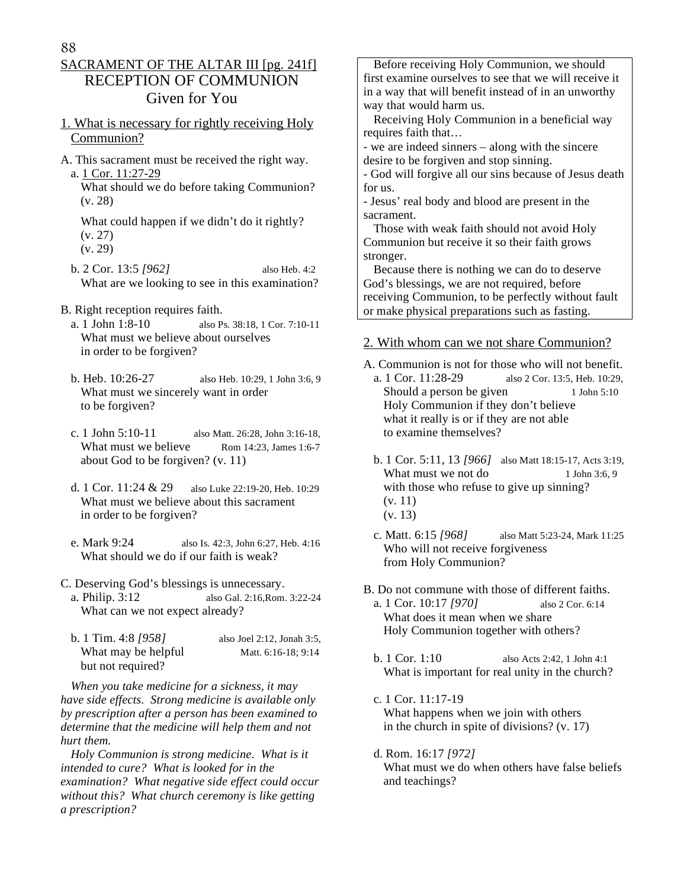# SACRAMENT OF THE ALTAR III [pg. 241f] RECEPTION OF COMMUNION Given for You

## 1. What is necessary for rightly receiving Holy Communion?

A. This sacrament must be received the right way. a. 1 Cor. 11:27-29

 What should we do before taking Communion? (v. 28)

 What could happen if we didn't do it rightly? (v. 27) (v. 29)

- b. 2 Cor. 13:5 *[962]* also Heb. 4:2 What are we looking to see in this examination?
- B. Right reception requires faith.
	- a. 1 John 1:8-10 also Ps. 38:18, 1 Cor. 7:10-11 What must we believe about ourselves in order to be forgiven?
	- b. Heb. 10:26-27 also Heb. 10:29, 1 John 3:6, 9 What must we sincerely want in order to be forgiven?
	- c. 1 John 5:10-11 also Matt. 26:28, John 3:16-18, What must we believe Rom 14:23, James 1:6-7 about God to be forgiven? (v. 11)
	- d. 1 Cor. 11:24 & 29 also Luke 22:19-20, Heb. 10:29 What must we believe about this sacrament in order to be forgiven?
	- e. Mark 9:24 also Is. 42:3, John 6:27, Heb. 4:16 What should we do if our faith is weak?
- C. Deserving God's blessings is unnecessary.
	- a. Philip. 3:12 also Gal. 2:16,Rom. 3:22-24 What can we not expect already?
	- b. 1 Tim. 4:8 *[958]* also Joel 2:12, Jonah 3:5, What may be helpful Matt. 6:16-18; 9:14 but not required?

 *When you take medicine for a sickness, it may have side effects. Strong medicine is available only by prescription after a person has been examined to determine that the medicine will help them and not hurt them.* 

 *Holy Communion is strong medicine. What is it intended to cure? What is looked for in the examination? What negative side effect could occur without this? What church ceremony is like getting a prescription?* 

 Before receiving Holy Communion, we should first examine ourselves to see that we will receive it in a way that will benefit instead of in an unworthy way that would harm us.

 Receiving Holy Communion in a beneficial way requires faith that…

- we are indeed sinners – along with the sincere desire to be forgiven and stop sinning.

- God will forgive all our sins because of Jesus death for us.

- Jesus' real body and blood are present in the sacrament.

 Those with weak faith should not avoid Holy Communion but receive it so their faith grows stronger.

 Because there is nothing we can do to deserve God's blessings, we are not required, before receiving Communion, to be perfectly without fault or make physical preparations such as fasting.

## 2. With whom can we not share Communion?

A. Communion is not for those who will not benefit. a. 1 Cor. 11:28-29 also 2 Cor. 13:5, Heb. 10:29, Should a person be given 1 John 5:10 Holy Communion if they don't believe what it really is or if they are not able to examine themselves?

- b. 1 Cor. 5:11, 13 *[966]* also Matt 18:15-17, Acts 3:19, What must we not do 1 John 3:6, 9 with those who refuse to give up sinning? (v. 11) (v. 13)
- c. Matt. 6:15 *[968]* also Matt 5:23-24, Mark 11:25 Who will not receive forgiveness from Holy Communion?

B. Do not commune with those of different faiths. a. 1 Cor. 10:17 *[970]* also 2 Cor. 6:14 What does it mean when we share Holy Communion together with others?

- b. 1 Cor. 1:10 also Acts 2:42, 1 John 4:1 What is important for real unity in the church?
- c. 1 Cor. 11:17-19 What happens when we join with others in the church in spite of divisions? (v. 17)
- d. Rom. 16:17 *[972]* What must we do when others have false beliefs and teachings?